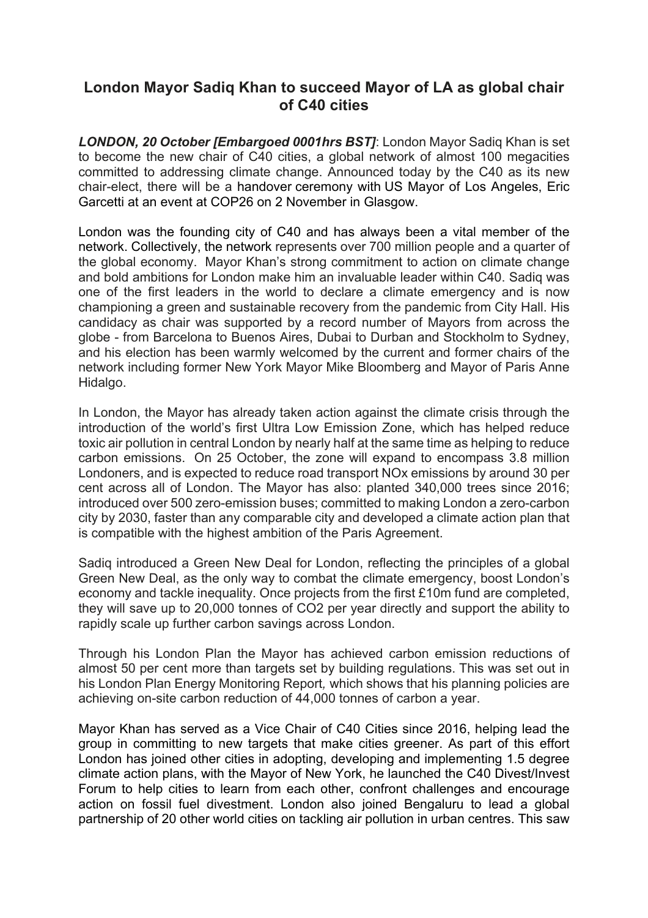## **London Mayor Sadiq Khan to succeed Mayor of LA as global chair of C40 cities**

*LONDON, 20 October [Embargoed 0001hrs BST]*: London Mayor Sadiq Khan is set to become the new chair of C40 cities, a global network of almost 100 megacities committed to addressing climate change. Announced today by the C40 as its new chair-elect, there will be a handover ceremony with US Mayor of Los Angeles, Eric Garcetti at an event at COP26 on 2 November in Glasgow.

London was the founding city of C40 and has always been a vital member of the network. Collectively, the network represents over 700 million people and a quarter of the global economy. Mayor Khan's strong commitment to action on climate change and bold ambitions for London make him an invaluable leader within C40. Sadiq was one of the first leaders in the world to declare a climate emergency and is now championing a green and sustainable recovery from the pandemic from City Hall. His candidacy as chair was supported by a record number of Mayors from across the globe - from Barcelona to Buenos Aires, Dubai to Durban and Stockholm to Sydney, and his election has been warmly welcomed by the current and former chairs of the network including former New York Mayor Mike Bloomberg and Mayor of Paris Anne Hidalgo.

In London, the Mayor has already taken action against the climate crisis through the introduction of the world's first Ultra Low Emission Zone, which has helped reduce toxic air pollution in central London by nearly half at the same time as helping to reduce carbon emissions. On 25 October, the zone will expand to encompass 3.8 million Londoners, and is expected to reduce road transport NOx emissions by around 30 per cent across all of London. The Mayor has also: planted 340,000 trees since 2016; introduced over 500 zero-emission buses; committed to making London a zero-carbon city by 2030, faster than any comparable city and developed a climate action plan that is compatible with the highest ambition of the Paris Agreement.

Sadiq introduced a Green New Deal for London, reflecting the principles of a global Green New Deal, as the only way to combat the climate emergency, boost London's economy and tackle inequality. Once projects from the first £10m fund are completed, they will save up to 20,000 tonnes of CO2 per year directly and support the ability to rapidly scale up further carbon savings across London.

Through his London Plan the Mayor has achieved carbon emission reductions of almost 50 per cent more than targets set by building regulations. This was set out in his London Plan Energy Monitoring Report*,* which shows that his planning policies are achieving on-site carbon reduction of 44,000 tonnes of carbon a year.

Mayor Khan has served as a Vice Chair of C40 Cities since 2016, helping lead the group in committing to new targets that make cities greener. As part of this effort London has joined other cities in adopting, developing and implementing 1.5 degree climate action plans, with the Mayor of New York, he launched the C40 Divest/Invest Forum to help cities to learn from each other, confront challenges and encourage action on fossil fuel divestment. London also joined Bengaluru to lead a global partnership of 20 other world cities on tackling air pollution in urban centres. This saw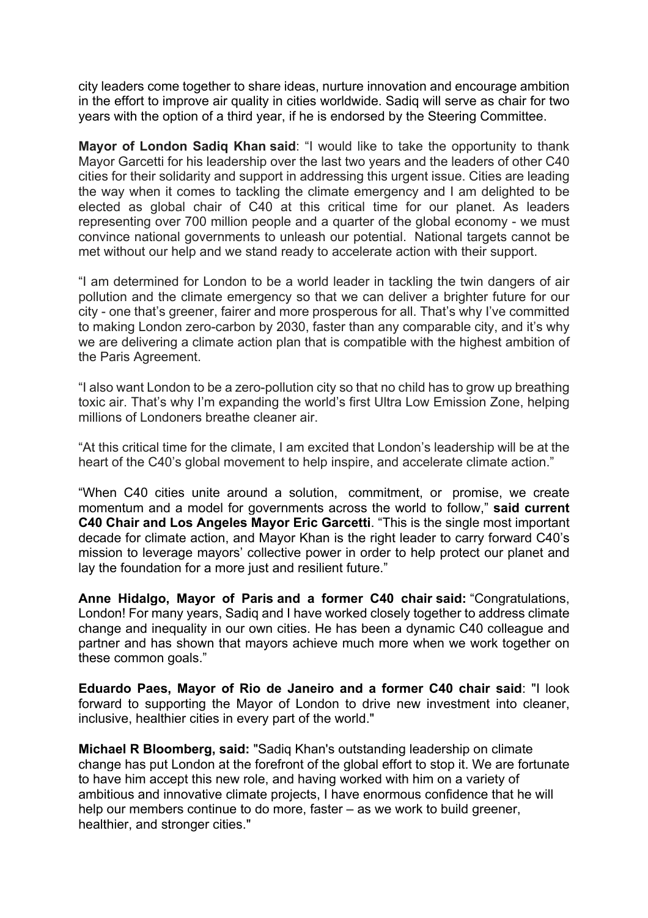city leaders come together to share ideas, nurture innovation and encourage ambition in the effort to improve air quality in cities worldwide. Sadiq will serve as chair for two years with the option of a third year, if he is endorsed by the Steering Committee.

**Mayor of London Sadiq Khan said**: "I would like to take the opportunity to thank Mayor Garcetti for his leadership over the last two years and the leaders of other C40 cities for their solidarity and support in addressing this urgent issue. Cities are leading the way when it comes to tackling the climate emergency and I am delighted to be elected as global chair of C40 at this critical time for our planet. As leaders representing over 700 million people and a quarter of the global economy - we must convince national governments to unleash our potential. National targets cannot be met without our help and we stand ready to accelerate action with their support.

"I am determined for London to be a world leader in tackling the twin dangers of air pollution and the climate emergency so that we can deliver a brighter future for our city - one that's greener, fairer and more prosperous for all. That's why I've committed to making London zero-carbon by 2030, faster than any comparable city, and it's why we are delivering a climate action plan that is compatible with the highest ambition of the Paris Agreement.

"I also want London to be a zero-pollution city so that no child has to grow up breathing toxic air. That's why I'm expanding the world's first Ultra Low Emission Zone, helping millions of Londoners breathe cleaner air.

"At this critical time for the climate, I am excited that London's leadership will be at the heart of the C40's global movement to help inspire, and accelerate climate action."

"When C40 cities unite around a solution, commitment, or promise, we create momentum and a model for governments across the world to follow," **said current C40 Chair and Los Angeles Mayor Eric Garcetti**. "This is the single most important decade for climate action, and Mayor Khan is the right leader to carry forward C40's mission to leverage mayors' collective power in order to help protect our planet and lay the foundation for a more just and resilient future."

**Anne Hidalgo, Mayor of Paris and a former C40 chair said:** "Congratulations, London! For many years, Sadiq and I have worked closely together to address climate change and inequality in our own cities. He has been a dynamic C40 colleague and partner and has shown that mayors achieve much more when we work together on these common goals."

**Eduardo Paes, Mayor of Rio de Janeiro and a former C40 chair said**: "I look forward to supporting the Mayor of London to drive new investment into cleaner, inclusive, healthier cities in every part of the world."

**Michael R Bloomberg, said:** "Sadiq Khan's outstanding leadership on climate change has put London at the forefront of the global effort to stop it. We are fortunate to have him accept this new role, and having worked with him on a variety of ambitious and innovative climate projects, I have enormous confidence that he will help our members continue to do more, faster – as we work to build greener, healthier, and stronger cities."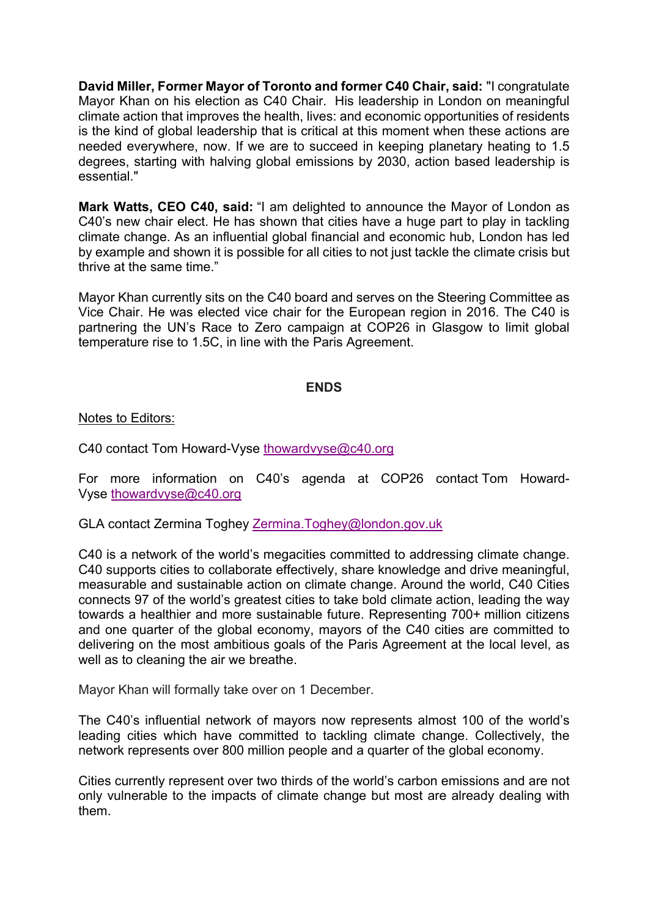**David Miller, Former Mayor of Toronto and former C40 Chair, said:** "I congratulate Mayor Khan on his election as C40 Chair. His leadership in London on meaningful climate action that improves the health, lives: and economic opportunities of residents is the kind of global leadership that is critical at this moment when these actions are needed everywhere, now. If we are to succeed in keeping planetary heating to 1.5 degrees, starting with halving global emissions by 2030, action based leadership is essential."

**Mark Watts, CEO C40, said:** "I am delighted to announce the Mayor of London as C40's new chair elect. He has shown that cities have a huge part to play in tackling climate change. As an influential global financial and economic hub, London has led by example and shown it is possible for all cities to not just tackle the climate crisis but thrive at the same time."

Mayor Khan currently sits on the C40 board and serves on the Steering Committee as Vice Chair. He was elected vice chair for the European region in 2016. The C40 is partnering the UN's Race to Zero campaign at COP26 in Glasgow to limit global temperature rise to 1.5C, in line with the Paris Agreement.

## **ENDS**

Notes to Editors:

C40 contact Tom Howard-Vyse thowardvyse@c40.org

For more information on C40's agenda at COP26 contact Tom Howard-Vyse thowardvyse@c40.org

GLA contact Zermina Toghey Zermina.Toghey@london.gov.uk

C40 is a network of the world's megacities committed to addressing climate change. C40 supports cities to collaborate effectively, share knowledge and drive meaningful, measurable and sustainable action on climate change. Around the world, C40 Cities connects 97 of the world's greatest cities to take bold climate action, leading the way towards a healthier and more sustainable future. Representing 700+ million citizens and one quarter of the global economy, mayors of the C40 cities are committed to delivering on the most ambitious goals of the Paris Agreement at the local level, as well as to cleaning the air we breathe.

Mayor Khan will formally take over on 1 December.

The C40's influential network of mayors now represents almost 100 of the world's leading cities which have committed to tackling climate change. Collectively, the network represents over 800 million people and a quarter of the global economy.

Cities currently represent over two thirds of the world's carbon emissions and are not only vulnerable to the impacts of climate change but most are already dealing with them.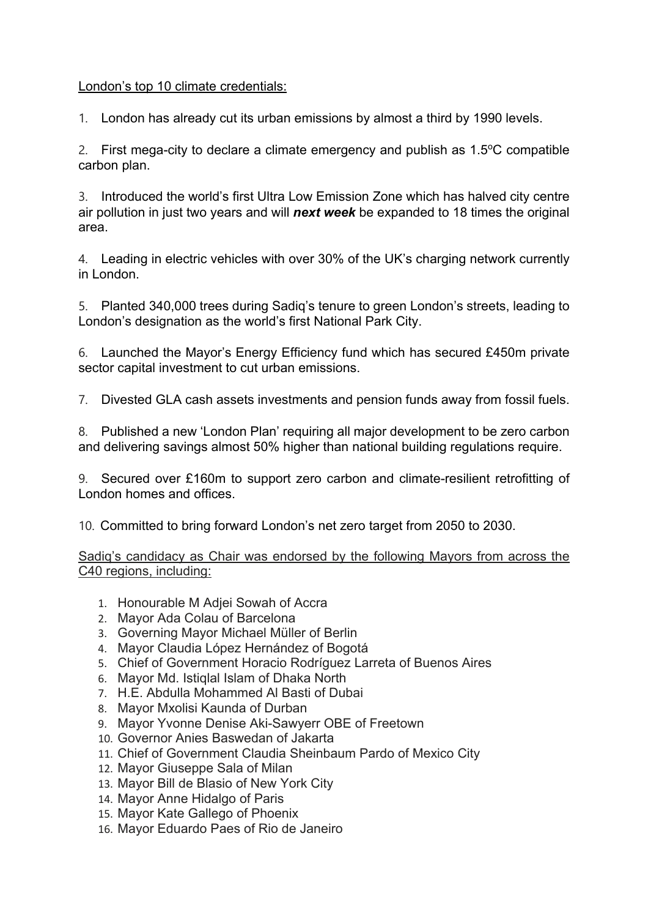## London's top 10 climate credentials:

1. London has already cut its urban emissions by almost a third by 1990 levels.

2. First mega-city to declare a climate emergency and publish as  $1.5^{\circ}$ C compatible carbon plan.

3. Introduced the world's first Ultra Low Emission Zone which has halved city centre air pollution in just two years and will *next week* be expanded to 18 times the original area.

4. Leading in electric vehicles with over 30% of the UK's charging network currently in London.

5. Planted 340,000 trees during Sadiq's tenure to green London's streets, leading to London's designation as the world's first National Park City.

6. Launched the Mayor's Energy Efficiency fund which has secured £450m private sector capital investment to cut urban emissions.

7. Divested GLA cash assets investments and pension funds away from fossil fuels.

8. Published a new 'London Plan' requiring all major development to be zero carbon and delivering savings almost 50% higher than national building regulations require.

9. Secured over £160m to support zero carbon and climate-resilient retrofitting of London homes and offices.

10. Committed to bring forward London's net zero target from 2050 to 2030.

Sadiq's candidacy as Chair was endorsed by the following Mayors from across the C40 regions, including:

- 1. Honourable M Adjei Sowah of Accra
- 2. Mayor Ada Colau of Barcelona
- 3. Governing Mayor Michael Müller of Berlin
- 4. Mayor Claudia López Hernández of Bogotá
- 5. Chief of Government Horacio Rodríguez Larreta of Buenos Aires
- 6. Mayor Md. Istiqlal Islam of Dhaka North
- 7. H.E. Abdulla Mohammed Al Basti of Dubai
- 8. Mayor Mxolisi Kaunda of Durban
- 9. Mayor Yvonne Denise Aki-Sawyerr OBE of Freetown
- 10. Governor Anies Baswedan of Jakarta
- 11. Chief of Government Claudia Sheinbaum Pardo of Mexico City
- 12. Mayor Giuseppe Sala of Milan
- 13. Mayor Bill de Blasio of New York City
- 14. Mayor Anne Hidalgo of Paris
- 15. Mayor Kate Gallego of Phoenix
- 16. Mayor Eduardo Paes of Rio de Janeiro